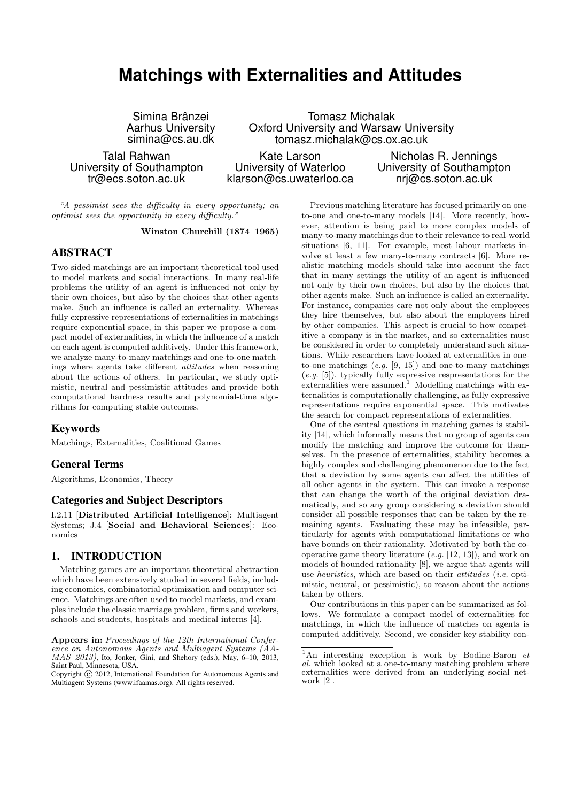# **Matchings with Externalities and Attitudes**

Simina Brânzei Aarhus University simina@cs.au.dk

Talal Rahwan University of Southampton tr@ecs.soton.ac.uk

Tomasz Michalak Oxford University and Warsaw University tomasz.michalak@cs.ox.ac.uk

Kate Larson University of Waterloo klarson@cs.uwaterloo.ca

Nicholas R. Jennings University of Southampton nrj@cs.soton.ac.uk

"A pessimist sees the difficulty in every opportunity; an optimist sees the opportunity in every difficulty."

Winston Churchill (1874–1965)

# ABSTRACT

Two-sided matchings are an important theoretical tool used to model markets and social interactions. In many real-life problems the utility of an agent is influenced not only by their own choices, but also by the choices that other agents make. Such an influence is called an externality. Whereas fully expressive representations of externalities in matchings require exponential space, in this paper we propose a compact model of externalities, in which the influence of a match on each agent is computed additively. Under this framework, we analyze many-to-many matchings and one-to-one matchings where agents take different attitudes when reasoning about the actions of others. In particular, we study optimistic, neutral and pessimistic attitudes and provide both computational hardness results and polynomial-time algorithms for computing stable outcomes.

# Keywords

Matchings, Externalities, Coalitional Games

## General Terms

Algorithms, Economics, Theory

# Categories and Subject Descriptors

I.2.11 [Distributed Artificial Intelligence]: Multiagent Systems; J.4 [Social and Behavioral Sciences]: Economics

# 1. INTRODUCTION

Matching games are an important theoretical abstraction which have been extensively studied in several fields, including economics, combinatorial optimization and computer science. Matchings are often used to model markets, and examples include the classic marriage problem, firms and workers, schools and students, hospitals and medical interns [4].

Copyright (C) 2012, International Foundation for Autonomous Agents and Multiagent Systems (www.ifaamas.org). All rights reserved.

Previous matching literature has focused primarily on oneto-one and one-to-many models [14]. More recently, however, attention is being paid to more complex models of many-to-many matchings due to their relevance to real-world situations [6, 11]. For example, most labour markets involve at least a few many-to-many contracts [6]. More realistic matching models should take into account the fact that in many settings the utility of an agent is influenced not only by their own choices, but also by the choices that other agents make. Such an influence is called an externality. For instance, companies care not only about the employees they hire themselves, but also about the employees hired by other companies. This aspect is crucial to how competitive a company is in the market, and so externalities must be considered in order to completely understand such situations. While researchers have looked at externalities in oneto-one matchings  $(e.g. [9, 15])$  and one-to-many matchings (e.g. [5]), typically fully expressive respresentations for the externalities were assumed. $\frac{1}{1}$  Modelling matchings with externalities is computationally challenging, as fully expressive representations require exponential space. This motivates the search for compact representations of externalities.

One of the central questions in matching games is stability [14], which informally means that no group of agents can modify the matching and improve the outcome for themselves. In the presence of externalities, stability becomes a highly complex and challenging phenomenon due to the fact that a deviation by some agents can affect the utilities of all other agents in the system. This can invoke a response that can change the worth of the original deviation dramatically, and so any group considering a deviation should consider all possible responses that can be taken by the remaining agents. Evaluating these may be infeasible, particularly for agents with computational limitations or who have bounds on their rationality. Motivated by both the cooperative game theory literature (e.g. [12, 13]), and work on models of bounded rationality [8], we argue that agents will use heuristics, which are based on their attitudes (i.e. optimistic, neutral, or pessimistic), to reason about the actions taken by others.

Our contributions in this paper can be summarized as follows. We formulate a compact model of externalities for matchings, in which the influence of matches on agents is computed additively. Second, we consider key stability con-

Appears in: Proceedings of the 12th International Conference on Autonomous Agents and Multiagent Systems (AA-MAS 2013), Ito, Jonker, Gini, and Shehory (eds.), May, 6–10, 2013, Saint Paul, Minnesota, USA.

 $\overline{1_{\text{An}}\text{ interesting exception}}$  is work by Bodine-Baron et al. which looked at a one-to-many matching problem where externalities were derived from an underlying social network [2].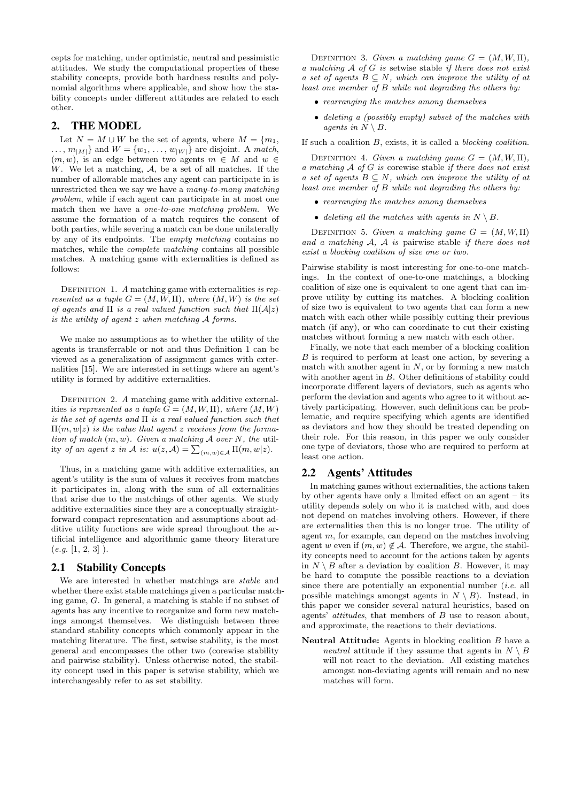cepts for matching, under optimistic, neutral and pessimistic attitudes. We study the computational properties of these stability concepts, provide both hardness results and polynomial algorithms where applicable, and show how the stability concepts under different attitudes are related to each other.

# 2. THE MODEL

Let  $N = M \cup W$  be the set of agents, where  $M = \{m_1,$  $\ldots, m_{|M|}$  and  $W = \{w_1, \ldots, w_{|W|}\}\$ are disjoint. A match,  $(m, w)$ , is an edge between two agents  $m \in M$  and  $w \in$  $W$ . We let a matching,  $A$ , be a set of all matches. If the number of allowable matches any agent can participate in is unrestricted then we say we have a many-to-many matching problem, while if each agent can participate in at most one match then we have a one-to-one matching problem. We assume the formation of a match requires the consent of both parties, while severing a match can be done unilaterally by any of its endpoints. The empty matching contains no matches, while the complete matching contains all possible matches. A matching game with externalities is defined as follows:

DEFINITION 1. A matching game with externalities is represented as a tuple  $G = (M, W, \Pi)$ , where  $(M, W)$  is the set of agents and  $\Pi$  is a real valued function such that  $\Pi(\mathcal{A}|z)$ is the utility of agent z when matching A forms.

We make no assumptions as to whether the utility of the agents is transferrable or not and thus Definition 1 can be viewed as a generalization of assignment games with externalities [15]. We are interested in settings where an agent's utility is formed by additive externalities.

DEFINITION 2. A matching game with additive externalities is represented as a tuple  $G = (M, W, \Pi)$ , where  $(M, W)$ is the set of agents and  $\Pi$  is a real valued function such that  $\Pi(m, w|z)$  is the value that agent z receives from the formation of match  $(m, w)$ . Given a matching A over N, the utility of an agent z in A is:  $u(z, A) = \sum_{(m,w)\in A} \Pi(m, w|z)$ .

Thus, in a matching game with additive externalities, an agent's utility is the sum of values it receives from matches it participates in, along with the sum of all externalities that arise due to the matchings of other agents. We study additive externalities since they are a conceptually straightforward compact representation and assumptions about additive utility functions are wide spread throughout the artificial intelligence and algorithmic game theory literature  $(e.g. [1, 2, 3])$ .

# 2.1 Stability Concepts

We are interested in whether matchings are *stable* and whether there exist stable matchings given a particular matching game, G. In general, a matching is stable if no subset of agents has any incentive to reorganize and form new matchings amongst themselves. We distinguish between three standard stability concepts which commonly appear in the matching literature. The first, setwise stability, is the most general and encompasses the other two (corewise stability and pairwise stability). Unless otherwise noted, the stability concept used in this paper is setwise stability, which we interchangeably refer to as set stability.

DEFINITION 3. Given a matching game  $G = (M, W, \Pi)$ , a matching  $A$  of  $G$  is setwise stable if there does not exist a set of agents  $B \subseteq N$ , which can improve the utility of at least one member of B while not degrading the others by:

- rearranging the matches among themselves
- deleting a (possibly empty) subset of the matches with agents in  $N \setminus B$ .

If such a coalition B, exists, it is called a blocking coalition.

DEFINITION 4. Given a matching game  $G = (M, W, \Pi)$ , a matching  $A$  of  $G$  is corewise stable if there does not exist a set of agents  $B \subseteq N$ , which can improve the utility of at least one member of B while not degrading the others by:

- rearranging the matches among themselves
- deleting all the matches with agents in  $N \setminus B$ .

DEFINITION 5. Given a matching game  $G = (M, W, \Pi)$ and a matching  $A$ ,  $A$  is pairwise stable if there does not exist a blocking coalition of size one or two.

Pairwise stability is most interesting for one-to-one matchings. In the context of one-to-one matchings, a blocking coalition of size one is equivalent to one agent that can improve utility by cutting its matches. A blocking coalition of size two is equivalent to two agents that can form a new match with each other while possibly cutting their previous match (if any), or who can coordinate to cut their existing matches without forming a new match with each other.

Finally, we note that each member of a blocking coalition B is required to perform at least one action, by severing a match with another agent in  $N$ , or by forming a new match with another agent in B. Other definitions of stability could incorporate different layers of deviators, such as agents who perform the deviation and agents who agree to it without actively participating. However, such definitions can be problematic, and require specifying which agents are identified as deviators and how they should be treated depending on their role. For this reason, in this paper we only consider one type of deviators, those who are required to perform at least one action.

# 2.2 Agents' Attitudes

In matching games without externalities, the actions taken by other agents have only a limited effect on an agent – its utility depends solely on who it is matched with, and does not depend on matches involving others. However, if there are externalities then this is no longer true. The utility of agent m, for example, can depend on the matches involving agent w even if  $(m, w) \notin \mathcal{A}$ . Therefore, we argue, the stability concepts need to account for the actions taken by agents in  $N \setminus B$  after a deviation by coalition B. However, it may be hard to compute the possible reactions to a deviation since there are potentially an exponential number *(i.e.* all possible matchings amongst agents in  $N \setminus B$ . Instead, in this paper we consider several natural heuristics, based on agents' attitudes, that members of B use to reason about, and approximate, the reactions to their deviations.

Neutral Attitude: Agents in blocking coalition B have a neutral attitude if they assume that agents in  $N \setminus B$ will not react to the deviation. All existing matches amongst non-deviating agents will remain and no new matches will form.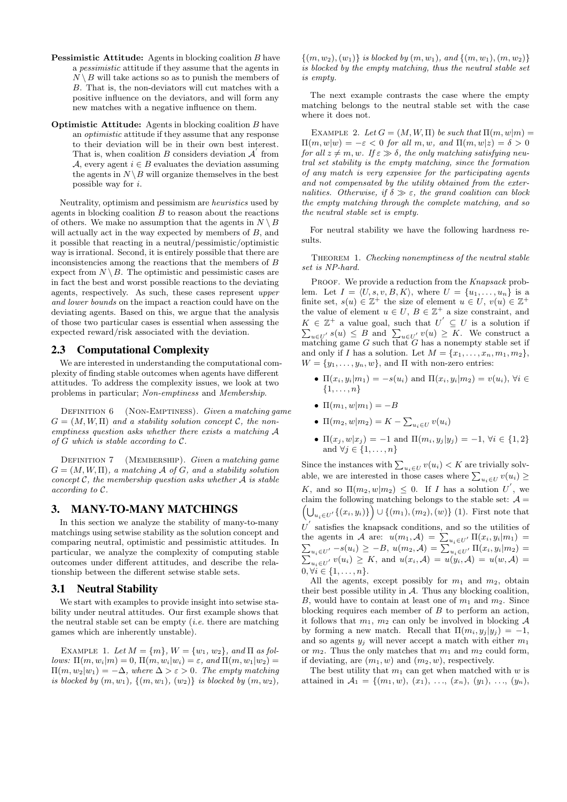- Pessimistic Attitude: Agents in blocking coalition B have a pessimistic attitude if they assume that the agents in  $N \setminus B$  will take actions so as to punish the members of B. That is, the non-deviators will cut matches with a positive influence on the deviators, and will form any new matches with a negative influence on them.
- Optimistic Attitude: Agents in blocking coalition B have an optimistic attitude if they assume that any response to their deviation will be in their own best interest. That is, when coalition B considers deviation  $\mathcal{A}$ <sup>'</sup> from A, every agent  $i \in B$  evaluates the deviation assuming the agents in  $N \setminus B$  will organize themselves in the best possible way for i.

Neutrality, optimism and pessimism are heuristics used by agents in blocking coalition  $B$  to reason about the reactions of others. We make no assumption that the agents in  $N \setminus B$ will actually act in the way expected by members of  $B$ , and it possible that reacting in a neutral/pessimistic/optimistic way is irrational. Second, it is entirely possible that there are inconsistencies among the reactions that the members of B expect from  $N \setminus B$ . The optimistic and pessimistic cases are in fact the best and worst possible reactions to the deviating agents, respectively. As such, these cases represent upper and lower bounds on the impact a reaction could have on the deviating agents. Based on this, we argue that the analysis of those two particular cases is essential when assessing the expected reward/risk associated with the deviation.

# 2.3 Computational Complexity

We are interested in understanding the computational complexity of finding stable outcomes when agents have different attitudes. To address the complexity issues, we look at two problems in particular; Non-emptiness and Membership.

DEFINITION 6 (NON-EMPTINESS). Given a matching game  $G = (M, W, \Pi)$  and a stability solution concept C, the nonemptiness question asks whether there exists a matching A of  $G$  which is stable according to  $\mathcal{C}$ .

DEFINITION 7 (MEMBERSHIP). Given a matching game  $G = (M, W, \Pi)$ , a matching A of G, and a stability solution concept  $\mathcal{C}$ , the membership question asks whether  $\mathcal{A}$  is stable according to C.

# 3. MANY-TO-MANY MATCHINGS

In this section we analyze the stability of many-to-many matchings using setwise stability as the solution concept and comparing neutral, optimistic and pessimistic attitudes. In particular, we analyze the complexity of computing stable outcomes under different attitudes, and describe the relationship between the different setwise stable sets.

#### 3.1 Neutral Stability

We start with examples to provide insight into setwise stability under neutral attitudes. Our first example shows that the neutral stable set can be empty  $(i.e.$  there are matching games which are inherently unstable).

EXAMPLE 1. Let  $M = \{m\}$ ,  $W = \{w_1, w_2\}$ , and  $\Pi$  as follows:  $\Pi(m, w_i|m) = 0$ ,  $\Pi(m, w_i|w_i) = \varepsilon$ , and  $\Pi(m, w_1|w_2) =$  $\Pi(m, w_2|w_1) = -\Delta$ , where  $\Delta > \varepsilon > 0$ . The empty matching is blocked by  $(m, w_1)$ ,  $\{(m, w_1), (w_2)\}\$ is blocked by  $(m, w_2)$ ,

 $\{(m, w_2), (w_1)\}\$ is blocked by  $(m, w_1),$  and  $\{(m, w_1), (m, w_2)\}\$ is blocked by the empty matching, thus the neutral stable set is empty.

The next example contrasts the case where the empty matching belongs to the neutral stable set with the case where it does not.

EXAMPLE 2. Let  $G = (M, W, \Pi)$  be such that  $\Pi(m, w|m)$  $\Pi(m, w|w) = -\varepsilon < 0$  for all m, w, and  $\Pi(m, w|z) = \delta > 0$ for all  $z \neq m, w$ . If  $\varepsilon \gg \delta$ , the only matching satisfying neutral set stability is the empty matching, since the formation of any match is very expensive for the participating agents and not compensated by the utility obtained from the externalities. Otherwise, if  $\delta \gg \varepsilon$ , the grand coalition can block the empty matching through the complete matching, and so the neutral stable set is empty.

For neutral stability we have the following hardness results.

THEOREM 1. Checking nonemptiness of the neutral stable set is NP-hard.

PROOF. We provide a reduction from the Knapsack problem. Let  $I = \langle U, s, v, B, K \rangle$ , where  $U = \{u_1, \ldots, u_n\}$  is a finite set,  $s(u) \in \mathbb{Z}^+$  the size of element  $u \in U$ ,  $v(u) \in \mathbb{Z}^+$ the value of element  $u \in U$ ,  $B \in \mathbb{Z}^+$  a size constraint, and  $K \in \mathbb{Z}^+$  a value goal, such that  $U^{'}$ P  $\subseteq U$  is a solution if  $u \in U'$  s(u)  $\leq B$  and  $\sum_{u \in U'} v(u) \geq K$ . We construct a  $\overline{L}_{u\in U}$  matching game G such that G has a nonempty stable set if and only if I has a solution. Let  $M = \{x_1, \ldots, x_n, m_1, m_2\},\$  $W = \{y_1, \ldots, y_n, w\}$ , and  $\Pi$  with non-zero entries:

- $\Pi(x_i, y_i|m_1) = -s(u_i)$  and  $\Pi(x_i, y_i|m_2) = v(u_i)$ ,  $\forall i \in$  $\{1,\ldots,n\}$
- $\Pi(m_1, w | m_1) = -B$
- $\Pi(m_2, w | m_2) = K \sum_{u_i \in U} v(u_i)$
- $\Pi(x_j, w|x_j) = -1$  and  $\Pi(m_i, y_j|y_j) = -1$ ,  $\forall i \in \{1, 2\}$ and  $\forall j \in \{1, \ldots, n\}$

Since the instances with  $\sum_{u_i \in U} v(u_i) < K$  are trivially solvable, we are interested in those cases where  $\sum_{u_i \in U} v(u_i) \geq$ K, and so  $\Pi(m_2, w|m_2) \leq 0$ . If I has a solution U', we claim the following matching belongs to the stable set:  $A =$  $(\bigcup_{u_i \in U'} \{(x_i, y_i)\}\big) \cup \{(m_1), (m_2), (w)\}$  (1). First note that  $U^{'}$  satisfies the knapsack conditions, and so the utilities of the agents in A are:  $u(m_1, \mathcal{A}) = \sum_{u_i \in U'} \Pi(x_i, y_i|m_1) =$  $\sum_{u_i \in U'} -s(u_i) \ge -B, \ u(m_2, \mathcal{A}) = \sum_{u_i \in U'} \Pi(x_i, y_i | m_2) =$  $\sum_{u_i \in U'} v(u_i) \geq K$ , and  $u(x_i, \mathcal{A}) = u(y_i, \mathcal{A}) = u(w, \mathcal{A}) =$  $0, \forall i \in \{1, \ldots, n\}.$ 

All the agents, except possibly for  $m_1$  and  $m_2$ , obtain their best possible utility in  $A$ . Thus any blocking coalition, B, would have to contain at least one of  $m_1$  and  $m_2$ . Since blocking requires each member of B to perform an action, it follows that  $m_1$ ,  $m_2$  can only be involved in blocking A by forming a new match. Recall that  $\Pi(m_i, y_i | y_i) = -1$ , and so agents  $y_i$  will never accept a match with either  $m_1$ or  $m_2$ . Thus the only matches that  $m_1$  and  $m_2$  could form, if deviating, are  $(m_1, w)$  and  $(m_2, w)$ , respectively.

The best utility that  $m_1$  can get when matched with w is attained in  $A_1 = \{(m_1, w), (x_1), \ldots, (x_n), (y_1), \ldots, (y_n)\}$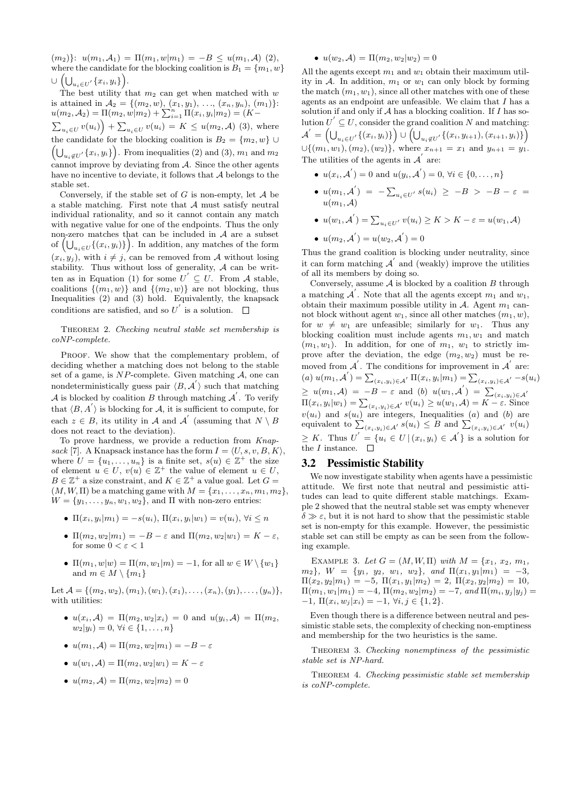$(m_2)$ :  $u(m_1, \mathcal{A}_1) = \Pi(m_1, w|m_1) = -B \leq u(m_1, \mathcal{A})$  (2), where the candidate for the blocking coalition is  $B_1 = \{m_1, w\}$  $\cup\,\left( {\bigcup\nolimits_{u_i \in U'} {\{x_i,y_i\}} }\right)\!.$ 

The best utility that  $m_2$  can get when matched with w is attained in  $\mathcal{A}_2 = \{(m_2, w), (x_1, y_1), \ldots, (x_n, y_n), (m_1)\}\.$  $u(m_2, \mathcal{A}_2) = \Pi(m_2, w|m_2) + \sum_{i=1}^n \Pi(x_i, y_i|m_2) = (K \sum_{u_i \in U} v(u_i) + \sum_{u_i \in U} v(u_i) = K \leq u(m_2, \mathcal{A})$  (3), where the candidate for the blocking coalition is  $B_2 = \{m_2, w\} \cup$  $\left(\bigcup_{u_i \notin U'} \{x_i, y_i\}\right)$ . From inequalities (2) and (3),  $m_1$  and  $m_2$ cannot improve by deviating from  $A$ . Since the other agents have no incentive to deviate, it follows that  ${\mathcal A}$  belongs to the stable set.

Conversely, if the stable set of  $G$  is non-empty, let  $A$  be a stable matching. First note that A must satisfy neutral individual rationality, and so it cannot contain any match with negative value for one of the endpoints. Thus the only non-zero matches that can be included in  $A$  are a subset of  $\left(\bigcup_{u_i \in U} \{(x_i, y_i)\}\right)$ . In addition, any matches of the form  $(x_i, y_i)$ , with  $i \neq j$ , can be removed from A without losing stability. Thus without loss of generality,  $A$  can be written as in Equation (1) for some  $U' \subseteq U$ . From A stable, coalitions  $\{(m_1, w)\}\$  and  $\{(m_2, w)\}\$  are not blocking, thus Inequalities  $(2)$  and  $(3)$  hold. Equivalently, the knapsack conditions are satisfied, and so  $U^{'}$  is a solution.

#### THEOREM 2. Checking neutral stable set membership is coNP-complete.

PROOF. We show that the complementary problem, of deciding whether a matching does not belong to the stable set of a game, is  $NP$ -complete. Given matching  $A$ , one can nondeterministically guess pair  $\langle B, \mathcal{A}' \rangle$  such that matching A is blocked by coalition B through matching  $\mathcal{A}$ . To verify that  $\langle B, A' \rangle$  is blocking for A, it is sufficient to compute, for each  $z \in B$ , its utility in A and A' (assuming that  $N \setminus B$ does not react to the deviation).

To prove hardness, we provide a reduction from Knapsack [7]. A Knapsack instance has the form  $I = \langle U, s, v, B, K \rangle$ , where  $U = \{u_1, \ldots, u_n\}$  is a finite set,  $s(u) \in \mathbb{Z}^+$  the size of element  $u \in U$ ,  $v(u) \in \mathbb{Z}^+$  the value of element  $u \in U$ ,  $B \in \mathbb{Z}^+$  a size constraint, and  $K \in \mathbb{Z}^+$  a value goal. Let  $G =$  $(M, W, \Pi)$  be a matching game with  $M = \{x_1, \ldots, x_n, m_1, m_2\},\$  $W = \{y_1, \ldots, y_n, w_1, w_2\}$ , and  $\Pi$  with non-zero entries:

- $\Pi(x_i, y_i|m_1) = -s(u_i)$ ,  $\Pi(x_i, y_i|w_1) = v(u_i)$ ,  $\forall i \leq n$
- $\Pi(m_2, w_2|m_1) = -B \varepsilon$  and  $\Pi(m_2, w_2|w_1) = K \varepsilon$ , for some  $0 < \varepsilon < 1$
- $\Pi(m_1, w|w) = \Pi(m, w_1|m) = -1$ , for all  $w \in W \setminus \{w_1\}$ and  $m \in M \setminus \{m_1\}$

Let  $\mathcal{A} = \{(m_2, w_2), (m_1), (w_1), (x_1), \ldots, (x_n), (y_1), \ldots, (y_n)\},\$ with utilities:

- $u(x_i, \mathcal{A}) = \Pi(m_2, w_2 | x_i) = 0$  and  $u(y_i, \mathcal{A}) = \Pi(m_2, \mathcal{A})$  $w_2|y_i) = 0, \forall i \in \{1, \ldots, n\}$
- $u(m_1, \mathcal{A}) = \Pi(m_2, w_2|m_1) = -B \varepsilon$
- $u(w_1, \mathcal{A}) = \Pi(m_2, w_2|w_1) = K \varepsilon$
- $u(m_2, \mathcal{A}) = \Pi(m_2, w_2|m_2) = 0$

#### •  $u(w_2, \mathcal{A}) = \Pi(m_2, w_2|w_2) = 0$

All the agents except  $m_1$  and  $w_1$  obtain their maximum utility in A. In addition,  $m_1$  or  $w_1$  can only block by forming the match  $(m_1, w_1)$ , since all other matches with one of these agents as an endpoint are unfeasible. We claim that  $I$  has a solution if and only if  $A$  has a blocking coalition. If  $I$  has solution  $U' \subseteq U$ , consider the grand coalition N and matching:  $\mathcal{A}^{'}=\left(\bigcup_{u_{i}\in U^{'}}\{(x_{i},y_{i})\}\right)\cup\left(\bigcup_{u_{i}\not\in U^{'}}\{(x_{i},y_{i+1}),(x_{i+1},y_{i})\}\right)$  $\cup \{(m_1, w_1), (m_2), (w_2)\},$  where  $x_{n+1} = x_1$  and  $y_{n+1} = y_1$ . The utilities of the agents in  $\mathcal{A}^{'}$  are:

- $u(x_i, A) = 0$  and  $u(y_i, A') = 0, \forall i \in \{0, ..., n\}$
- $u(m_1, \mathcal{A}') = -\sum_{u_i \in U'} s(u_i) \ge -B \ > -B \varepsilon =$  $u(m_1, \mathcal{A})$
- $u(w_1, \mathcal{A}') = \sum_{u_i \in U'} v(u_i) \ge K > K \varepsilon = u(w_1, \mathcal{A})$
- $u(m_2, \mathcal{A}') = u(w_2, \mathcal{A}') = 0$

Thus the grand coalition is blocking under neutrality, since it can form matching  $A^{'}$  and (weakly) improve the utilities of all its members by doing so.

Conversely, assume  $A$  is blocked by a coalition  $B$  through a matching  $\mathcal{A}'$ . Note that all the agents except  $m_1$  and  $w_1$ , obtain their maximum possible utility in A. Agent  $m_1$  cannot block without agent  $w_1$ , since all other matches  $(m_1, w)$ , for  $w \neq w_1$  are unfeasible; similarly for  $w_1$ . Thus any blocking coalition must include agents  $m_1, w_1$  and match  $(m_1, w_1)$ . In addition, for one of  $m_1, w_1$  to strictly improve after the deviation, the edge  $(m_2, w_2)$  must be removed from  $A'$ . The conditions for improvement in  $A'$  are: (a)  $u(m_1, \mathcal{A}') = \sum_{(x_i, y_i) \in \mathcal{A}'} \Pi(x_i, y_i | m_1) = \sum_{(x_i, y_i) \in \mathcal{A}'} -s(u_i)$  $\geq u(m_1, \mathcal{A}) = -B - \varepsilon$  and  $(b) u(w_1, \mathcal{A}') = \sum_{(x_i, y_i) \in \mathcal{A}'}$  $\Pi(x_i, y_i|w_1) = \sum_{(x_i, y_i) \in \mathcal{A}'} v(u_i) \ge u(w_1, \mathcal{A}) = K - \varepsilon$ . Since  $v(u_i)$  and  $s(u_i)$  are integers, Inequalities (a) and (b) are equivalent to  $\sum_{(x_i,y_i)\in\mathcal{A}'} s(u_i) \leq B$  and  $\sum_{(x_i,y_i)\in\mathcal{A}'} v(u_i)$  $\geq K$ . Thus  $U^{'} = \{u_i \in U \mid (x_i, y_i) \in \mathcal{A}^{'}\}\$ is a solution for the *I* instance.

### 3.2 Pessimistic Stability

We now investigate stability when agents have a pessimistic attitude. We first note that neutral and pessimistic attitudes can lead to quite different stable matchings. Example 2 showed that the neutral stable set was empty whenever  $\delta \gg \varepsilon$ , but it is not hard to show that the pessimistic stable set is non-empty for this example. However, the pessimistic stable set can still be empty as can be seen from the following example.

EXAMPLE 3. Let  $G = (M, W, \Pi)$  with  $M = \{x_1, x_2, m_1,$  $m_2$ ,  $W = \{y_1, y_2, w_1, w_2\}$ , and  $\Pi(x_1, y_1|m_1) = -3$ ,  $\Pi(x_2, y_2|m_1) = -5$ ,  $\Pi(x_1, y_1|m_2) = 2$ ,  $\Pi(x_2, y_2|m_2) = 10$ ,  $\Pi(m_1, w_1|m_1) = -4, \Pi(m_2, w_2|m_2) = -7, \text{ and } \Pi(m_i, y_j|y_j) =$  $-1, \Pi(x_i, w_j | x_i) = -1, \forall i, j \in \{1, 2\}.$ 

Even though there is a difference between neutral and pessimistic stable sets, the complexity of checking non-emptiness and membership for the two heuristics is the same.

Theorem 3. Checking nonemptiness of the pessimistic stable set is NP-hard.

THEOREM 4. Checking pessimistic stable set membership is coNP-complete.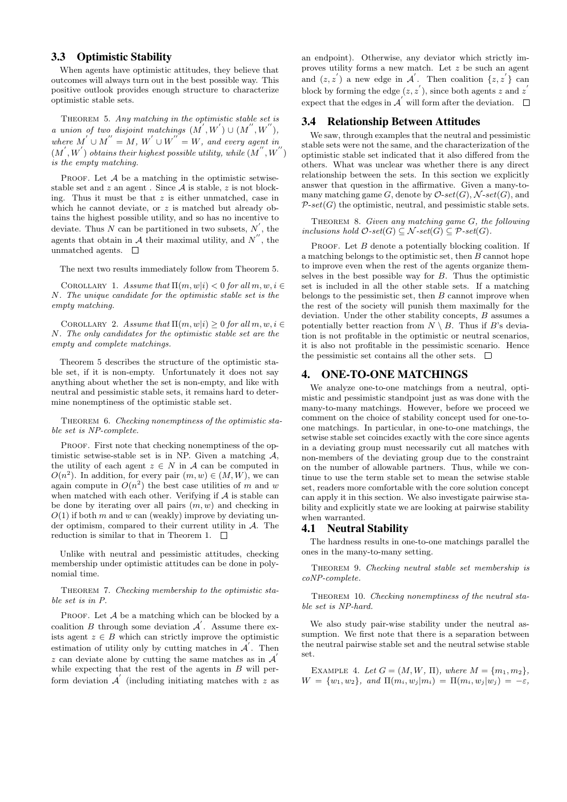# 3.3 Optimistic Stability

When agents have optimistic attitudes, they believe that outcomes will always turn out in the best possible way. This positive outlook provides enough structure to characterize optimistic stable sets.

THEOREM 5. Any matching in the optimistic stable set is a union of two disjoint matchings  $(M', W') \cup (M'', W'')$ , where  $M' \cup M'' = M$ ,  $W' \cup W'' = W$ , and every agent in  $(M^{'}, W^{'})$  obtains their highest possible utility, while  $(M^{''}, W^{''})$ is the empty matching.

PROOF. Let  $A$  be a matching in the optimistic setwisestable set and  $z$  an agent. Since  $A$  is stable,  $z$  is not blocking. Thus it must be that  $z$  is either unmatched, case in which he cannot deviate, or  $z$  is matched but already obtains the highest possible utility, and so has no incentive to deviate. Thus N can be partitioned in two subsets,  $N'$ , the agents that obtain in  $A$  their maximal utility, and  $N''$ , the unmatched agents.  $\square$ 

The next two results immediately follow from Theorem 5.

COROLLARY 1. Assume that  $\Pi(m, w|i) < 0$  for all  $m, w, i \in$ N. The unique candidate for the optimistic stable set is the empty matching.

COROLLARY 2. Assume that  $\Pi(m, w|i) \geq 0$  for all  $m, w, i \in$ N. The only candidates for the optimistic stable set are the empty and complete matchings.

Theorem 5 describes the structure of the optimistic stable set, if it is non-empty. Unfortunately it does not say anything about whether the set is non-empty, and like with neutral and pessimistic stable sets, it remains hard to determine nonemptiness of the optimistic stable set.

THEOREM 6. Checking nonemptiness of the optimistic stable set is NP-complete.

PROOF. First note that checking nonemptiness of the optimistic setwise-stable set is in NP. Given a matching  $A$ , the utility of each agent  $z \in N$  in A can be computed in  $O(n^2)$ . In addition, for every pair  $(m, w) \in (M, W)$ , we can again compute in  $O(n^2)$  the best case utilities of m and w when matched with each other. Verifying if  $A$  is stable can be done by iterating over all pairs  $(m, w)$  and checking in  $O(1)$  if both m and w can (weakly) improve by deviating under optimism, compared to their current utility in A. The reduction is similar to that in Theorem 1.  $\quad \Box$ 

Unlike with neutral and pessimistic attitudes, checking membership under optimistic attitudes can be done in polynomial time.

THEOREM 7. Checking membership to the optimistic stable set is in P.

PROOF. Let  $A$  be a matching which can be blocked by a coalition  $B$  through some deviation  $\mathcal{A}'$ . Assume there exists agent  $z \in B$  which can strictly improve the optimistic estimation of utility only by cutting matches in  $\mathcal{A}'$ . Then z can deviate alone by cutting the same matches as in  $A'$ while expecting that the rest of the agents in  $B$  will perform deviation  $\mathcal{A}'$  (including initiating matches with z as

an endpoint). Otherwise, any deviator which strictly improves utility forms a new match. Let z be such an agent and  $(z, z')$  a new edge in  $\mathcal{A}'$ . Then coalition  $\{z, z'\}$  can block by forming the edge  $(z, z')$ , since both agents z and z' expect that the edges in  $\mathcal{A}'$  will form after the deviation.

### 3.4 Relationship Between Attitudes

We saw, through examples that the neutral and pessimistic stable sets were not the same, and the characterization of the optimistic stable set indicated that it also differed from the others. What was unclear was whether there is any direct relationship between the sets. In this section we explicitly answer that question in the affirmative. Given a many-tomany matching game G, denote by  $\mathcal{O}\text{-}set(G)$ ,  $\mathcal{N}\text{-}set(G)$ , and  $\mathcal{P}\text{-}set(G)$  the optimistic, neutral, and pessimistic stable sets.

THEOREM 8. Given any matching game G, the following inclusions hold  $\mathcal{O}\text{-}set(G) \subseteq \mathcal{N}\text{-}set(G) \subseteq \mathcal{P}\text{-}set(G)$ .

PROOF. Let  $B$  denote a potentially blocking coalition. If a matching belongs to the optimistic set, then  $B$  cannot hope to improve even when the rest of the agents organize themselves in the best possible way for  $B$ . Thus the optimistic set is included in all the other stable sets. If a matching belongs to the pessimistic set, then  $B$  cannot improve when the rest of the society will punish them maximally for the deviation. Under the other stability concepts, B assumes a potentially better reaction from  $N \setminus B$ . Thus if B's deviation is not profitable in the optimistic or neutral scenarios, it is also not profitable in the pessimistic scenario. Hence the pessimistic set contains all the other sets.  $\Box$ 

# 4. ONE-TO-ONE MATCHINGS

We analyze one-to-one matchings from a neutral, optimistic and pessimistic standpoint just as was done with the many-to-many matchings. However, before we proceed we comment on the choice of stability concept used for one-toone matchings. In particular, in one-to-one matchings, the setwise stable set coincides exactly with the core since agents in a deviating group must necessarily cut all matches with non-members of the deviating group due to the constraint on the number of allowable partners. Thus, while we continue to use the term stable set to mean the setwise stable set, readers more comfortable with the core solution concept can apply it in this section. We also investigate pairwise stability and explicitly state we are looking at pairwise stability when warranted.

### 4.1 Neutral Stability

The hardness results in one-to-one matchings parallel the ones in the many-to-many setting.

THEOREM 9. Checking neutral stable set membership is coNP-complete.

THEOREM 10. Checking nonemptiness of the neutral stable set is NP-hard.

We also study pair-wise stability under the neutral assumption. We first note that there is a separation between the neutral pairwise stable set and the neutral setwise stable set.

EXAMPLE 4. Let  $G = (M, W, \Pi)$ , where  $M = \{m_1, m_2\}$ ,  $W = \{w_1, w_2\}, \text{ and } \Pi(m_i, w_j | m_i) = \Pi(m_i, w_j | w_j) = -\varepsilon,$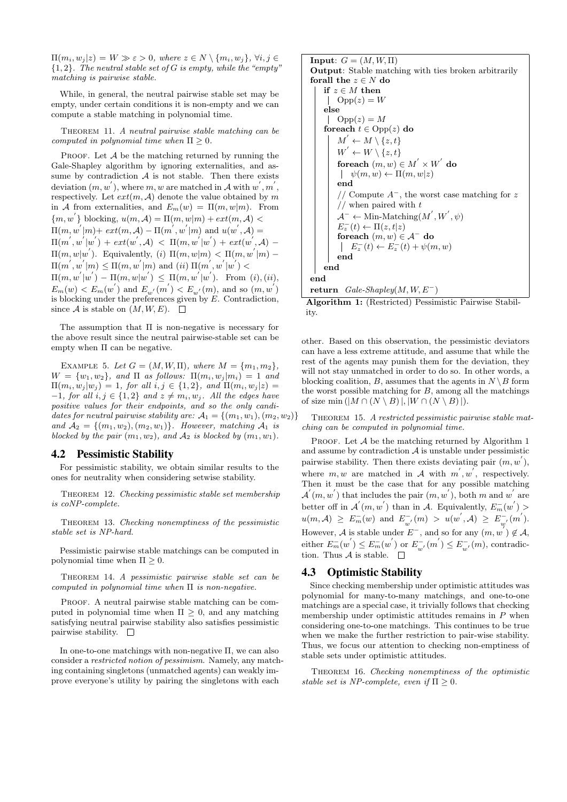$\Pi(m_i, w_j | z) = W \gg \varepsilon > 0$ , where  $z \in N \setminus \{m_i, w_j\}, \forall i, j \in$  ${1, 2}$ . The neutral stable set of G is empty, while the "empty" matching is pairwise stable.

While, in general, the neutral pairwise stable set may be empty, under certain conditions it is non-empty and we can compute a stable matching in polynomial time.

THEOREM 11. A neutral pairwise stable matching can be computed in polynomial time when  $\Pi \geq 0$ .

PROOF. Let  $A$  be the matching returned by running the Gale-Shapley algorithm by ignoring externalities, and assume by contradiction  $A$  is not stable. Then there exists deviation  $(m, w^{'}),$  where  $m, w$  are matched in  $\mathcal{A}$  with  $w^{'}, m^{'},$ respectively. Let  $ext(m, A)$  denote the value obtained by m in A from externalities, and  $E_m(w) = \Pi(m, w|m)$ . From  ${m, w' }$  blocking,  $u(m, \mathcal{A}) = \Pi(m, w|m) + ext(m, \mathcal{A})$  $\Pi(m, w^{'}|m)+ext(m, \mathcal{A}) - \Pi(m^{'}, w^{'}|m)$  and  $u(w^{'}, \mathcal{A}) =$  $\Pi(m^{'},w^{'}|w^{'}) + ext(w^{'},\mathcal{A}) \ < \ \Pi(m,w^{'}|w^{'}) + ext(w^{'},\mathcal{A}) \ \Pi(m, w|w')$ . Equivalently, (i)  $\Pi(m, w|m) < \Pi(m, w'|m)$  - $\Pi(m^{'}, w^{'}|m) \leq \Pi(m, w^{'}|m)$  and  $(ii)$   $\Pi(m^{'}, w^{'}|w^{'})$  $\Pi(m, w^{'} | w^{'}) - \Pi(m, w | w^{'}) \leq \Pi(m, w^{'} | w^{'})$ . From (i), (ii),  $E_m(w) < E_m(w^{'})$  and  $E_{w^{'}}(m^{'}) < E_{w^{'}}(m)$ , and so  $(m, w^{'})$ is blocking under the preferences given by  $E$ . Contradiction, since A is stable on  $(M, W, E)$ .  $\Box$ 

The assumption that Π is non-negative is necessary for the above result since the neutral pairwise-stable set can be empty when Π can be negative.

EXAMPLE 5. Let  $G = (M, W, \Pi)$ , where  $M = \{m_1, m_2\}$ ,  $W = \{w_1, w_2\}$ , and  $\Pi$  as follows:  $\Pi(m_i, w_j | m_i) = 1$  and  $\Pi(m_i, w_j | w_j) = 1$ , for all  $i, j \in \{1, 2\}$ , and  $\Pi(m_i, w_j | z) =$  $-1$ , for all  $i, j \in \{1, 2\}$  and  $z \neq m_i, w_j$ . All the edges have positive values for their endpoints, and so the only candidates for neutral pairwise stability are:  $A_1 = \{(m_1, w_1), (m_2, w_2)\}$ and  $A_2 = \{(m_1, w_2), (m_2, w_1)\}\$ . However, matching  $A_1$  is blocked by the pair  $(m_1, w_2)$ , and  $A_2$  is blocked by  $(m_1, w_1)$ .

### 4.2 Pessimistic Stability

For pessimistic stability, we obtain similar results to the ones for neutrality when considering setwise stability.

THEOREM 12. Checking pessimistic stable set membership is coNP-complete.

Theorem 13. Checking nonemptiness of the pessimistic stable set is NP-hard.

Pessimistic pairwise stable matchings can be computed in polynomial time when  $\Pi \geq 0$ .

Theorem 14. A pessimistic pairwise stable set can be computed in polynomial time when  $\Pi$  is non-negative.

PROOF. A neutral pairwise stable matching can be computed in polynomial time when  $\Pi \geq 0$ , and any matching satisfying neutral pairwise stability also satisfies pessimistic pairwise stability.  $\square$ 

In one-to-one matchings with non-negative Π, we can also consider a restricted notion of pessimism. Namely, any matching containing singletons (unmatched agents) can weakly improve everyone's utility by pairing the singletons with each

**Input:**  $G = (M, W, \Pi)$ Output: Stable matching with ties broken arbitrarily forall the  $z \in N$  do if  $z \in M$  then  $\bigcup$  Opp $(z) = W$ else  $\bigcap$  Opp $(z) = M$ foreach  $t \in \text{Opp}(z)$  do  $M' \leftarrow M \setminus \{z, t\}$  $W^{'} \leftarrow W \setminus \{z, t\}$ foreach  $(m, w) \in M^{'} \times W^{'}$  do  $\psi(m, w) \leftarrow \Pi(m, w|z)$ end // Compute  $A^-$ , the worst case matching for z  $//$  when paired with  $t$  $\mathcal{A}^- \leftarrow$  Min-Matching $(M^{'}, W^{'}, \psi)$  $E_z^-(t) \leftarrow \Pi(z, t|z)$ foreach  $(m, w) \in \mathcal{A}^-$  do  $E_z^-(t) \leftarrow E_z^-(t) + \psi(m, w)$ end end end return  $Gale-Shapley(M, W, E^-)$ 

Algorithm 1: (Restricted) Pessimistic Pairwise Stability.

other. Based on this observation, the pessimistic deviators can have a less extreme attitude, and assume that while the rest of the agents may punish them for the deviation, they will not stay unmatched in order to do so. In other words, a blocking coalition, B, assumes that the agents in  $N \setminus B$  form the worst possible matching for  $B$ , among all the matchings of size min  $(|M \cap (N \setminus B)|, |W \cap (N \setminus B)|)$ .

THEOREM 15. A restricted pessimistic pairwise stable matching can be computed in polynomial time.

PROOF. Let  $A$  be the matching returned by Algorithm 1 and assume by contradiction  $A$  is unstable under pessimistic pairwise stability. Then there exists deviating pair  $(m, w^{'}),$ where  $m, w$  are matched in A with  $m', w'$ , respectively. Then it must be the case that for any possible matching  $\mathcal{A} (m, w')$  that includes the pair  $(m, w')$ , both m and w are better off in  $\mathcal{A}'(m, w')$  than in A. Equivalently,  $E_m^-(w')$  $u(m, \mathcal{A}) \geq E_m^-(w)$  and  $E_m^$  $w^{(-)}_{w'}(m) > u(w^{'},\mathcal{A}) \ \geq \ E^{-}_{w'}$  $\int_{w'}^-(m^{'})$ . However, A is stable under  $E^-$ , and so for any  $(m, w^{\overline{\jmath}}) \notin A$ , either  $E_m^-(w^{'}) \leq E_m^-(w^{'})$  or  $E_m^ E_{w'}^-(m^{'}) \leq E_{w}^ \sum_{w'}^{\infty}(m)$ , contradiction. Thus  $A$  is stable.  $\Box$ 

# 4.3 Optimistic Stability

Since checking membership under optimistic attitudes was polynomial for many-to-many matchings, and one-to-one matchings are a special case, it trivially follows that checking membership under optimistic attitudes remains in  $P$  when considering one-to-one matchings. This continues to be true when we make the further restriction to pair-wise stability. Thus, we focus our attention to checking non-emptiness of stable sets under optimistic attitudes.

THEOREM 16. Checking nonemptiness of the optimistic stable set is NP-complete, even if  $\Pi \geq 0$ .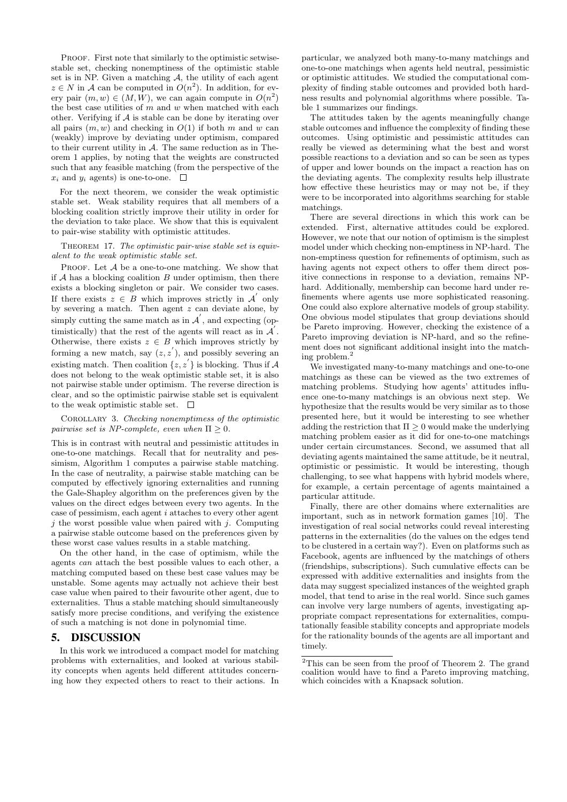PROOF. First note that similarly to the optimistic setwisestable set, checking nonemptiness of the optimistic stable set is in NP. Given a matching  $A$ , the utility of each agent  $z \in N$  in A can be computed in  $O(n^2)$ . In addition, for every pair  $(m, w) \in (M, W)$ , we can again compute in  $O(n^2)$ the best case utilities of  $m$  and  $w$  when matched with each other. Verifying if  $A$  is stable can be done by iterating over all pairs  $(m, w)$  and checking in  $O(1)$  if both m and w can (weakly) improve by deviating under optimism, compared to their current utility in  $A$ . The same reduction as in Theorem 1 applies, by noting that the weights are constructed such that any feasible matching (from the perspective of the  $x_i$  and  $y_i$  agents) is one-to-one.  $\Box$ 

For the next theorem, we consider the weak optimistic stable set. Weak stability requires that all members of a blocking coalition strictly improve their utility in order for the deviation to take place. We show that this is equivalent to pair-wise stability with optimistic attitudes.

THEOREM 17. The optimistic pair-wise stable set is equivalent to the weak optimistic stable set.

PROOF. Let  $A$  be a one-to-one matching. We show that if  $A$  has a blocking coalition  $B$  under optimism, then there exists a blocking singleton or pair. We consider two cases. If there exists  $z \in B$  which improves strictly in  $\mathcal{A}'$  only by severing a match. Then agent  $z$  can deviate alone, by simply cutting the same match as in  $\mathcal{A}'$ , and expecting (optimistically) that the rest of the agents will react as in  $\mathcal{A}$ . Otherwise, there exists  $z \in B$  which improves strictly by forming a new match, say  $(z, z')$ , and possibly severing an existing match. Then coalition  $\{z, z^{'}\}$  is blocking. Thus if A does not belong to the weak optimistic stable set, it is also not pairwise stable under optimism. The reverse direction is clear, and so the optimistic pairwise stable set is equivalent to the weak optimistic stable set.  $\quad \Box$ 

Corollary 3. Checking nonemptimess of the optimistic pairwise set is NP-complete, even when  $\Pi \geq 0$ .

This is in contrast with neutral and pessimistic attitudes in one-to-one matchings. Recall that for neutrality and pessimism, Algorithm 1 computes a pairwise stable matching. In the case of neutrality, a pairwise stable matching can be computed by effectively ignoring externalities and running the Gale-Shapley algorithm on the preferences given by the values on the direct edges between every two agents. In the case of pessimism, each agent i attaches to every other agent  $j$  the worst possible value when paired with  $j$ . Computing a pairwise stable outcome based on the preferences given by these worst case values results in a stable matching.

On the other hand, in the case of optimism, while the agents can attach the best possible values to each other, a matching computed based on these best case values may be unstable. Some agents may actually not achieve their best case value when paired to their favourite other agent, due to externalities. Thus a stable matching should simultaneously satisfy more precise conditions, and verifying the existence of such a matching is not done in polynomial time.

### 5. DISCUSSION

In this work we introduced a compact model for matching problems with externalities, and looked at various stability concepts when agents held different attitudes concerning how they expected others to react to their actions. In

particular, we analyzed both many-to-many matchings and one-to-one matchings when agents held neutral, pessimistic or optimistic attitudes. We studied the computational complexity of finding stable outcomes and provided both hardness results and polynomial algorithms where possible. Table 1 summarizes our findings.

The attitudes taken by the agents meaningfully change stable outcomes and influence the complexity of finding these outcomes. Using optimistic and pessimistic attitudes can really be viewed as determining what the best and worst possible reactions to a deviation and so can be seen as types of upper and lower bounds on the impact a reaction has on the deviating agents. The complexity results help illustrate how effective these heuristics may or may not be, if they were to be incorporated into algorithms searching for stable matchings.

There are several directions in which this work can be extended. First, alternative attitudes could be explored. However, we note that our notion of optimism is the simplest model under which checking non-emptiness in NP-hard. The non-emptiness question for refinements of optimism, such as having agents not expect others to offer them direct positive connections in response to a deviation, remains NPhard. Additionally, membership can become hard under refinements where agents use more sophisticated reasoning. One could also explore alternative models of group stability. One obvious model stipulates that group deviations should be Pareto improving. However, checking the existence of a Pareto improving deviation is NP-hard, and so the refinement does not significant additional insight into the matching problem.<sup>2</sup>

We investigated many-to-many matchings and one-to-one matchings as these can be viewed as the two extremes of matching problems. Studying how agents' attitudes influence one-to-many matchings is an obvious next step. We hypothesize that the results would be very similar as to those presented here, but it would be interesting to see whether adding the restriction that  $\Pi \geq 0$  would make the underlying matching problem easier as it did for one-to-one matchings under certain circumstances. Second, we assumed that all deviating agents maintained the same attitude, be it neutral, optimistic or pessimistic. It would be interesting, though challenging, to see what happens with hybrid models where, for example, a certain percentage of agents maintained a particular attitude.

Finally, there are other domains where externalities are important, such as in network formation games [10]. The investigation of real social networks could reveal interesting patterns in the externalities (do the values on the edges tend to be clustered in a certain way?). Even on platforms such as Facebook, agents are influenced by the matchings of others (friendships, subscriptions). Such cumulative effects can be expressed with additive externalities and insights from the data may suggest specialized instances of the weighted graph model, that tend to arise in the real world. Since such games can involve very large numbers of agents, investigating appropriate compact representations for externalities, computationally feasible stability concepts and appropriate models for the rationality bounds of the agents are all important and timely.

 $2$ This can be seen from the proof of Theorem 2. The grand coalition would have to find a Pareto improving matching, which coincides with a Knapsack solution.